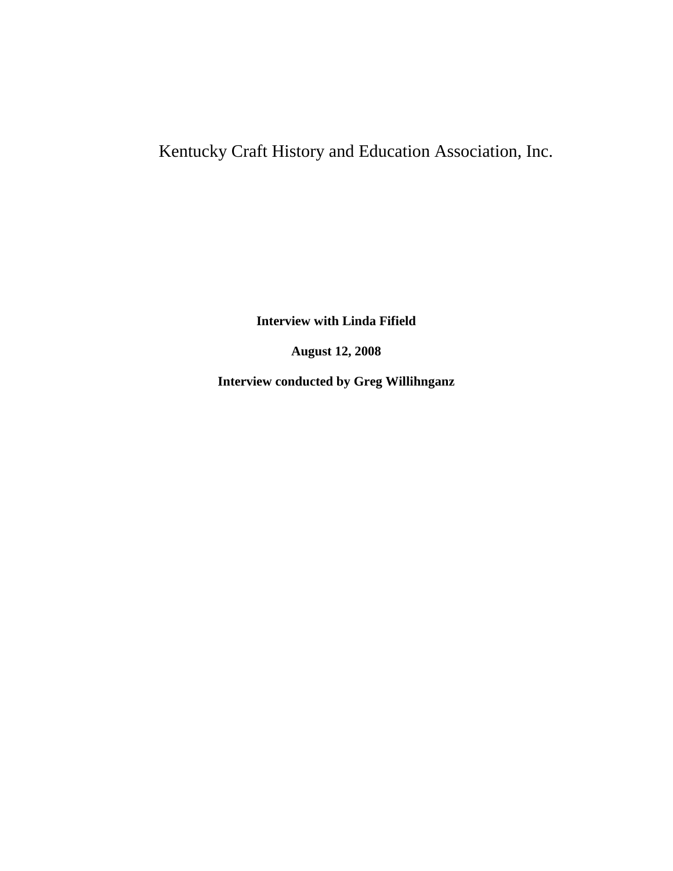## Kentucky Craft History and Education Association, Inc.

**Interview with Linda Fifield**

**August 12, 2008**

**Interview conducted by Greg Willihnganz**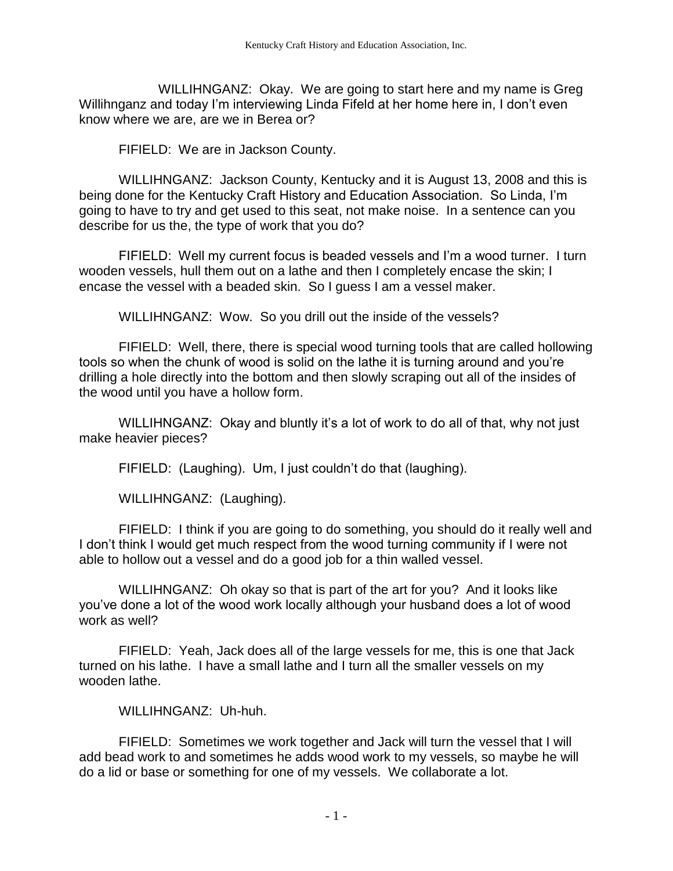WILLIHNGANZ: Okay. We are going to start here and my name is Greg Willihnganz and today I'm interviewing Linda Fifeld at her home here in, I don't even know where we are, are we in Berea or?

FIFIELD: We are in Jackson County.

WILLIHNGANZ: Jackson County, Kentucky and it is August 13, 2008 and this is being done for the Kentucky Craft History and Education Association. So Linda, I'm going to have to try and get used to this seat, not make noise. In a sentence can you describe for us the, the type of work that you do?

FIFIELD: Well my current focus is beaded vessels and I'm a wood turner. I turn wooden vessels, hull them out on a lathe and then I completely encase the skin; I encase the vessel with a beaded skin. So I guess I am a vessel maker.

WILLIHNGANZ: Wow. So you drill out the inside of the vessels?

FIFIELD: Well, there, there is special wood turning tools that are called hollowing tools so when the chunk of wood is solid on the lathe it is turning around and you're drilling a hole directly into the bottom and then slowly scraping out all of the insides of the wood until you have a hollow form.

WILLIHNGANZ: Okay and bluntly it's a lot of work to do all of that, why not just make heavier pieces?

FIFIELD: (Laughing). Um, I just couldn't do that (laughing).

WILLIHNGANZ: (Laughing).

FIFIELD: I think if you are going to do something, you should do it really well and I don't think I would get much respect from the wood turning community if I were not able to hollow out a vessel and do a good job for a thin walled vessel.

WILLIHNGANZ: Oh okay so that is part of the art for you? And it looks like you've done a lot of the wood work locally although your husband does a lot of wood work as well?

FIFIELD: Yeah, Jack does all of the large vessels for me, this is one that Jack turned on his lathe. I have a small lathe and I turn all the smaller vessels on my wooden lathe.

WILLIHNGANZ: Uh-huh.

FIFIELD: Sometimes we work together and Jack will turn the vessel that I will add bead work to and sometimes he adds wood work to my vessels, so maybe he will do a lid or base or something for one of my vessels. We collaborate a lot.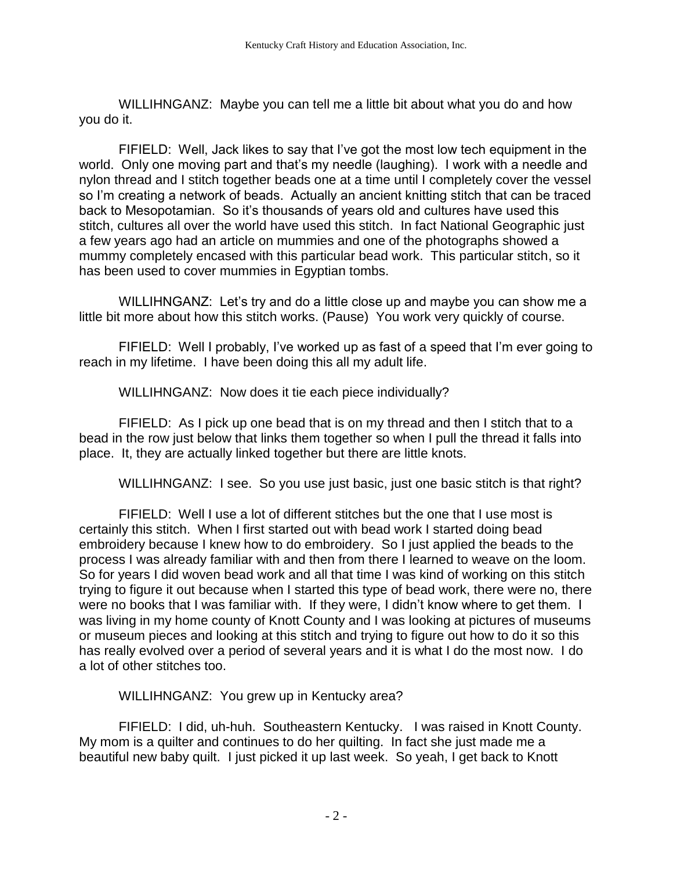WILLIHNGANZ: Maybe you can tell me a little bit about what you do and how you do it.

FIFIELD: Well, Jack likes to say that I've got the most low tech equipment in the world. Only one moving part and that's my needle (laughing). I work with a needle and nylon thread and I stitch together beads one at a time until I completely cover the vessel so I'm creating a network of beads. Actually an ancient knitting stitch that can be traced back to Mesopotamian. So it's thousands of years old and cultures have used this stitch, cultures all over the world have used this stitch. In fact National Geographic just a few years ago had an article on mummies and one of the photographs showed a mummy completely encased with this particular bead work. This particular stitch, so it has been used to cover mummies in Egyptian tombs.

WILLIHNGANZ: Let's try and do a little close up and maybe you can show me a little bit more about how this stitch works. (Pause) You work very quickly of course.

FIFIELD: Well I probably, I've worked up as fast of a speed that I'm ever going to reach in my lifetime. I have been doing this all my adult life.

WILLIHNGANZ: Now does it tie each piece individually?

FIFIELD: As I pick up one bead that is on my thread and then I stitch that to a bead in the row just below that links them together so when I pull the thread it falls into place. It, they are actually linked together but there are little knots.

WILLIHNGANZ: I see. So you use just basic, just one basic stitch is that right?

FIFIELD: Well I use a lot of different stitches but the one that I use most is certainly this stitch. When I first started out with bead work I started doing bead embroidery because I knew how to do embroidery. So I just applied the beads to the process I was already familiar with and then from there I learned to weave on the loom. So for years I did woven bead work and all that time I was kind of working on this stitch trying to figure it out because when I started this type of bead work, there were no, there were no books that I was familiar with. If they were, I didn't know where to get them. I was living in my home county of Knott County and I was looking at pictures of museums or museum pieces and looking at this stitch and trying to figure out how to do it so this has really evolved over a period of several years and it is what I do the most now. I do a lot of other stitches too.

WILLIHNGANZ: You grew up in Kentucky area?

FIFIELD: I did, uh-huh. Southeastern Kentucky. I was raised in Knott County. My mom is a quilter and continues to do her quilting. In fact she just made me a beautiful new baby quilt. I just picked it up last week. So yeah, I get back to Knott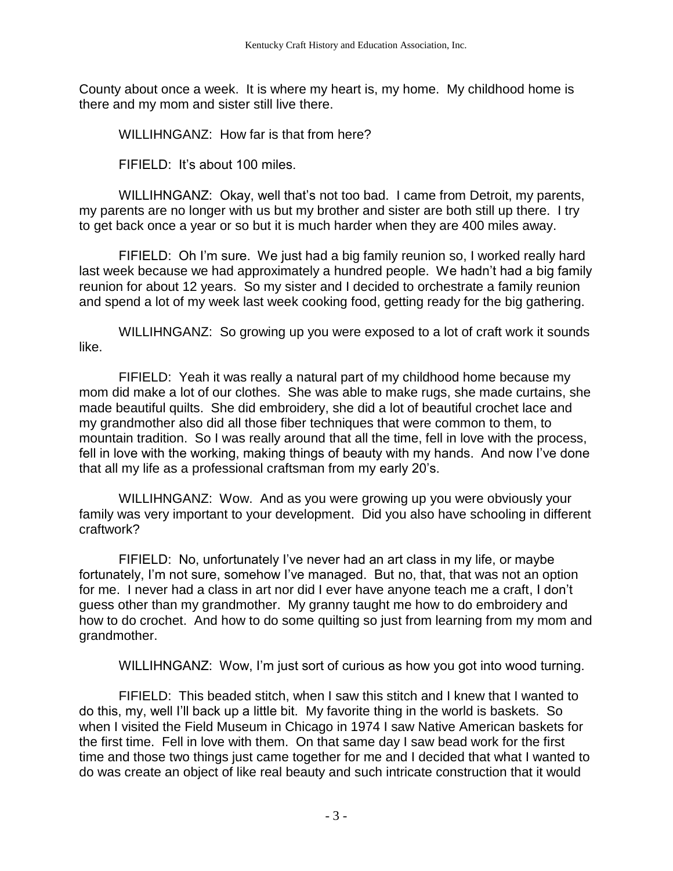County about once a week. It is where my heart is, my home. My childhood home is there and my mom and sister still live there.

WILLIHNGANZ: How far is that from here?

FIFIELD: It's about 100 miles.

WILLIHNGANZ: Okay, well that's not too bad. I came from Detroit, my parents, my parents are no longer with us but my brother and sister are both still up there. I try to get back once a year or so but it is much harder when they are 400 miles away.

FIFIELD: Oh I'm sure. We just had a big family reunion so, I worked really hard last week because we had approximately a hundred people. We hadn't had a big family reunion for about 12 years. So my sister and I decided to orchestrate a family reunion and spend a lot of my week last week cooking food, getting ready for the big gathering.

WILLIHNGANZ: So growing up you were exposed to a lot of craft work it sounds like.

FIFIELD: Yeah it was really a natural part of my childhood home because my mom did make a lot of our clothes. She was able to make rugs, she made curtains, she made beautiful quilts. She did embroidery, she did a lot of beautiful crochet lace and my grandmother also did all those fiber techniques that were common to them, to mountain tradition. So I was really around that all the time, fell in love with the process, fell in love with the working, making things of beauty with my hands. And now I've done that all my life as a professional craftsman from my early 20's.

WILLIHNGANZ: Wow. And as you were growing up you were obviously your family was very important to your development. Did you also have schooling in different craftwork?

FIFIELD: No, unfortunately I've never had an art class in my life, or maybe fortunately, I'm not sure, somehow I've managed. But no, that, that was not an option for me. I never had a class in art nor did I ever have anyone teach me a craft, I don't guess other than my grandmother. My granny taught me how to do embroidery and how to do crochet. And how to do some quilting so just from learning from my mom and grandmother.

WILLIHNGANZ: Wow, I'm just sort of curious as how you got into wood turning.

FIFIELD: This beaded stitch, when I saw this stitch and I knew that I wanted to do this, my, well I'll back up a little bit. My favorite thing in the world is baskets. So when I visited the Field Museum in Chicago in 1974 I saw Native American baskets for the first time. Fell in love with them. On that same day I saw bead work for the first time and those two things just came together for me and I decided that what I wanted to do was create an object of like real beauty and such intricate construction that it would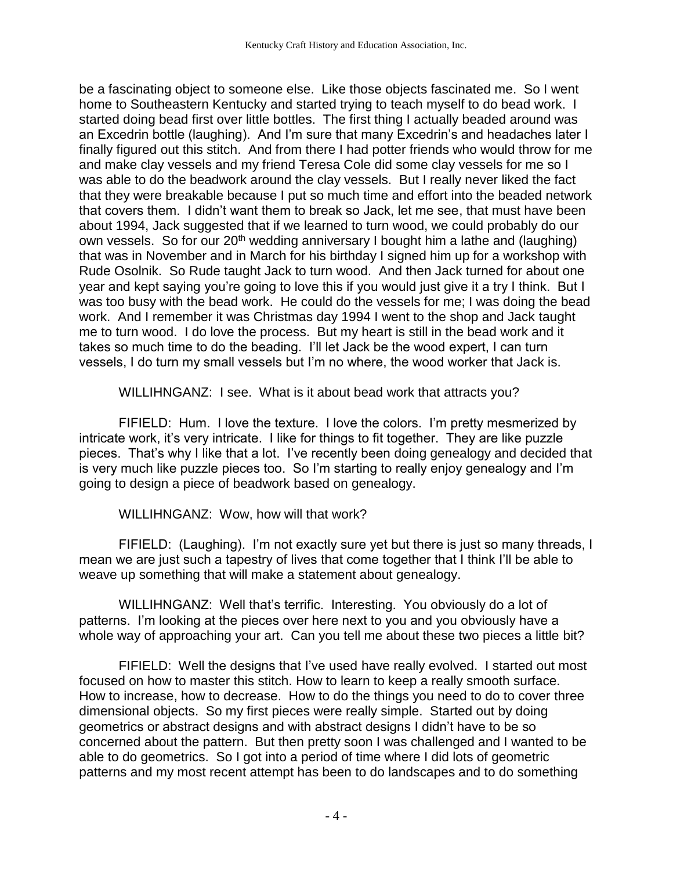be a fascinating object to someone else. Like those objects fascinated me. So I went home to Southeastern Kentucky and started trying to teach myself to do bead work. I started doing bead first over little bottles. The first thing I actually beaded around was an Excedrin bottle (laughing). And I'm sure that many Excedrin's and headaches later I finally figured out this stitch. And from there I had potter friends who would throw for me and make clay vessels and my friend Teresa Cole did some clay vessels for me so I was able to do the beadwork around the clay vessels. But I really never liked the fact that they were breakable because I put so much time and effort into the beaded network that covers them. I didn't want them to break so Jack, let me see, that must have been about 1994, Jack suggested that if we learned to turn wood, we could probably do our own vessels. So for our 20<sup>th</sup> wedding anniversary I bought him a lathe and (laughing) that was in November and in March for his birthday I signed him up for a workshop with Rude Osolnik. So Rude taught Jack to turn wood. And then Jack turned for about one year and kept saying you're going to love this if you would just give it a try I think. But I was too busy with the bead work. He could do the vessels for me; I was doing the bead work. And I remember it was Christmas day 1994 I went to the shop and Jack taught me to turn wood. I do love the process. But my heart is still in the bead work and it takes so much time to do the beading. I'll let Jack be the wood expert, I can turn vessels, I do turn my small vessels but I'm no where, the wood worker that Jack is.

WILLIHNGANZ: I see. What is it about bead work that attracts you?

FIFIELD: Hum. I love the texture. I love the colors. I'm pretty mesmerized by intricate work, it's very intricate. I like for things to fit together. They are like puzzle pieces. That's why I like that a lot. I've recently been doing genealogy and decided that is very much like puzzle pieces too. So I'm starting to really enjoy genealogy and I'm going to design a piece of beadwork based on genealogy.

WILLIHNGANZ: Wow, how will that work?

FIFIELD: (Laughing). I'm not exactly sure yet but there is just so many threads, I mean we are just such a tapestry of lives that come together that I think I'll be able to weave up something that will make a statement about genealogy.

WILLIHNGANZ: Well that's terrific. Interesting. You obviously do a lot of patterns. I'm looking at the pieces over here next to you and you obviously have a whole way of approaching your art. Can you tell me about these two pieces a little bit?

FIFIELD: Well the designs that I've used have really evolved. I started out most focused on how to master this stitch. How to learn to keep a really smooth surface. How to increase, how to decrease. How to do the things you need to do to cover three dimensional objects. So my first pieces were really simple. Started out by doing geometrics or abstract designs and with abstract designs I didn't have to be so concerned about the pattern. But then pretty soon I was challenged and I wanted to be able to do geometrics. So I got into a period of time where I did lots of geometric patterns and my most recent attempt has been to do landscapes and to do something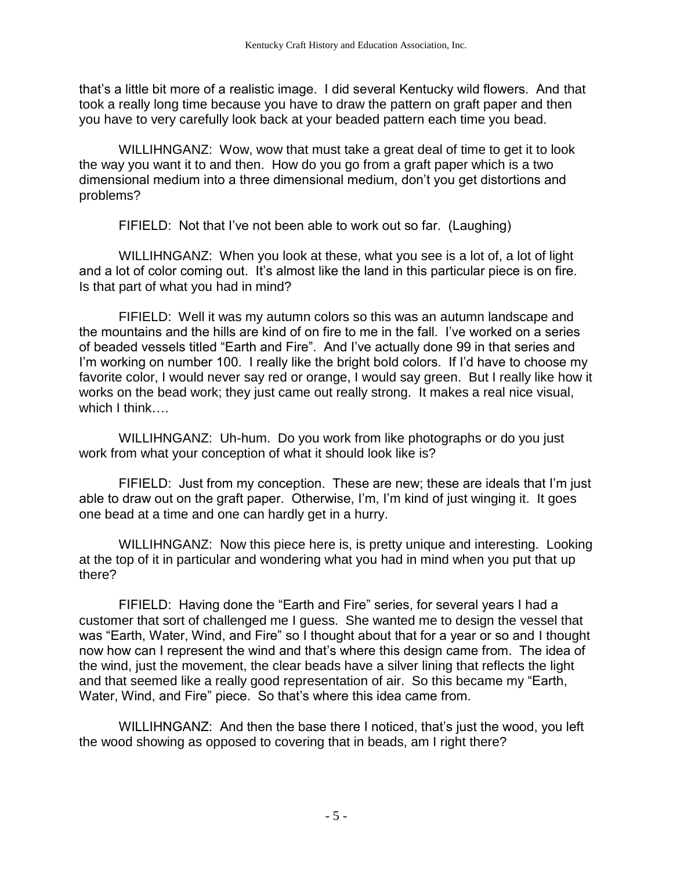that's a little bit more of a realistic image. I did several Kentucky wild flowers. And that took a really long time because you have to draw the pattern on graft paper and then you have to very carefully look back at your beaded pattern each time you bead.

WILLIHNGANZ: Wow, wow that must take a great deal of time to get it to look the way you want it to and then. How do you go from a graft paper which is a two dimensional medium into a three dimensional medium, don't you get distortions and problems?

FIFIELD: Not that I've not been able to work out so far. (Laughing)

WILLIHNGANZ: When you look at these, what you see is a lot of, a lot of light and a lot of color coming out. It's almost like the land in this particular piece is on fire. Is that part of what you had in mind?

FIFIELD: Well it was my autumn colors so this was an autumn landscape and the mountains and the hills are kind of on fire to me in the fall. I've worked on a series of beaded vessels titled "Earth and Fire". And I've actually done 99 in that series and I'm working on number 100. I really like the bright bold colors. If I'd have to choose my favorite color, I would never say red or orange, I would say green. But I really like how it works on the bead work; they just came out really strong. It makes a real nice visual, which I think….

WILLIHNGANZ: Uh-hum. Do you work from like photographs or do you just work from what your conception of what it should look like is?

FIFIELD: Just from my conception. These are new; these are ideals that I'm just able to draw out on the graft paper. Otherwise, I'm, I'm kind of just winging it. It goes one bead at a time and one can hardly get in a hurry.

WILLIHNGANZ: Now this piece here is, is pretty unique and interesting. Looking at the top of it in particular and wondering what you had in mind when you put that up there?

FIFIELD: Having done the "Earth and Fire" series, for several years I had a customer that sort of challenged me I guess. She wanted me to design the vessel that was "Earth, Water, Wind, and Fire" so I thought about that for a year or so and I thought now how can I represent the wind and that's where this design came from. The idea of the wind, just the movement, the clear beads have a silver lining that reflects the light and that seemed like a really good representation of air. So this became my "Earth, Water, Wind, and Fire" piece. So that's where this idea came from.

WILLIHNGANZ: And then the base there I noticed, that's just the wood, you left the wood showing as opposed to covering that in beads, am I right there?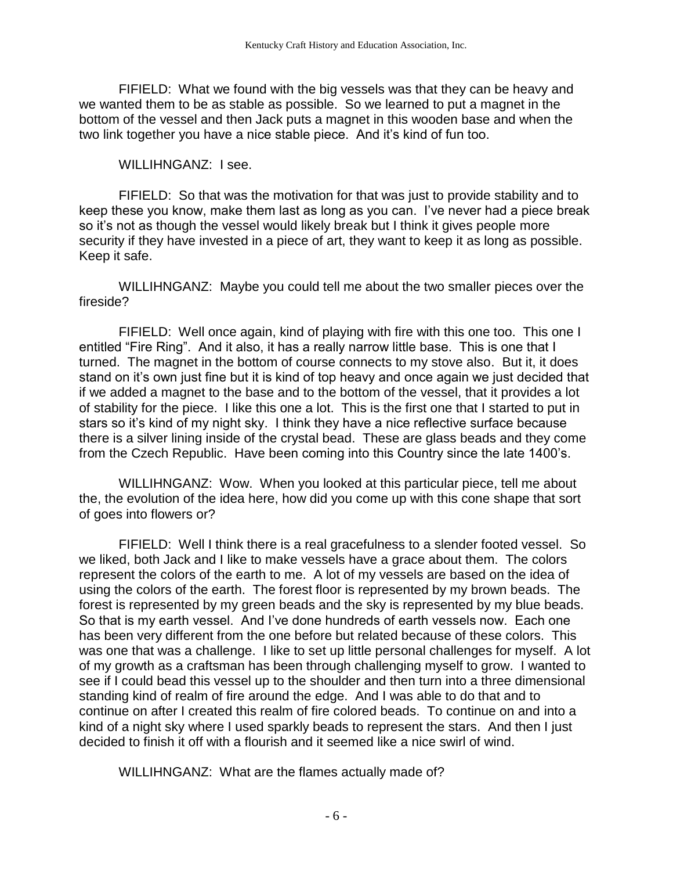FIFIELD: What we found with the big vessels was that they can be heavy and we wanted them to be as stable as possible. So we learned to put a magnet in the bottom of the vessel and then Jack puts a magnet in this wooden base and when the two link together you have a nice stable piece. And it's kind of fun too.

## WILLIHNGANZ: I see.

FIFIELD: So that was the motivation for that was just to provide stability and to keep these you know, make them last as long as you can. I've never had a piece break so it's not as though the vessel would likely break but I think it gives people more security if they have invested in a piece of art, they want to keep it as long as possible. Keep it safe.

WILLIHNGANZ: Maybe you could tell me about the two smaller pieces over the fireside?

FIFIELD: Well once again, kind of playing with fire with this one too. This one I entitled "Fire Ring". And it also, it has a really narrow little base. This is one that I turned. The magnet in the bottom of course connects to my stove also. But it, it does stand on it's own just fine but it is kind of top heavy and once again we just decided that if we added a magnet to the base and to the bottom of the vessel, that it provides a lot of stability for the piece. I like this one a lot. This is the first one that I started to put in stars so it's kind of my night sky. I think they have a nice reflective surface because there is a silver lining inside of the crystal bead. These are glass beads and they come from the Czech Republic. Have been coming into this Country since the late 1400's.

WILLIHNGANZ: Wow. When you looked at this particular piece, tell me about the, the evolution of the idea here, how did you come up with this cone shape that sort of goes into flowers or?

FIFIELD: Well I think there is a real gracefulness to a slender footed vessel. So we liked, both Jack and I like to make vessels have a grace about them. The colors represent the colors of the earth to me. A lot of my vessels are based on the idea of using the colors of the earth. The forest floor is represented by my brown beads. The forest is represented by my green beads and the sky is represented by my blue beads. So that is my earth vessel. And I've done hundreds of earth vessels now. Each one has been very different from the one before but related because of these colors. This was one that was a challenge. I like to set up little personal challenges for myself. A lot of my growth as a craftsman has been through challenging myself to grow. I wanted to see if I could bead this vessel up to the shoulder and then turn into a three dimensional standing kind of realm of fire around the edge. And I was able to do that and to continue on after I created this realm of fire colored beads. To continue on and into a kind of a night sky where I used sparkly beads to represent the stars. And then I just decided to finish it off with a flourish and it seemed like a nice swirl of wind.

WILLIHNGANZ: What are the flames actually made of?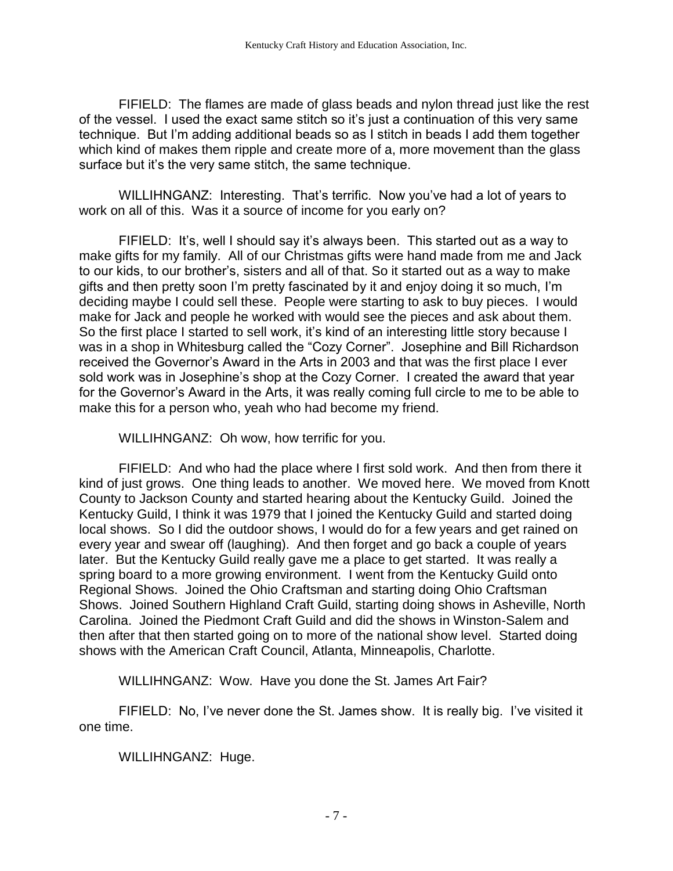FIFIELD: The flames are made of glass beads and nylon thread just like the rest of the vessel. I used the exact same stitch so it's just a continuation of this very same technique. But I'm adding additional beads so as I stitch in beads I add them together which kind of makes them ripple and create more of a, more movement than the glass surface but it's the very same stitch, the same technique.

WILLIHNGANZ: Interesting. That's terrific. Now you've had a lot of years to work on all of this. Was it a source of income for you early on?

FIFIELD: It's, well I should say it's always been. This started out as a way to make gifts for my family. All of our Christmas gifts were hand made from me and Jack to our kids, to our brother's, sisters and all of that. So it started out as a way to make gifts and then pretty soon I'm pretty fascinated by it and enjoy doing it so much, I'm deciding maybe I could sell these. People were starting to ask to buy pieces. I would make for Jack and people he worked with would see the pieces and ask about them. So the first place I started to sell work, it's kind of an interesting little story because I was in a shop in Whitesburg called the "Cozy Corner". Josephine and Bill Richardson received the Governor's Award in the Arts in 2003 and that was the first place I ever sold work was in Josephine's shop at the Cozy Corner. I created the award that year for the Governor's Award in the Arts, it was really coming full circle to me to be able to make this for a person who, yeah who had become my friend.

WILLIHNGANZ: Oh wow, how terrific for you.

FIFIELD: And who had the place where I first sold work. And then from there it kind of just grows. One thing leads to another. We moved here. We moved from Knott County to Jackson County and started hearing about the Kentucky Guild. Joined the Kentucky Guild, I think it was 1979 that I joined the Kentucky Guild and started doing local shows. So I did the outdoor shows, I would do for a few years and get rained on every year and swear off (laughing). And then forget and go back a couple of years later. But the Kentucky Guild really gave me a place to get started. It was really a spring board to a more growing environment. I went from the Kentucky Guild onto Regional Shows. Joined the Ohio Craftsman and starting doing Ohio Craftsman Shows. Joined Southern Highland Craft Guild, starting doing shows in Asheville, North Carolina. Joined the Piedmont Craft Guild and did the shows in Winston-Salem and then after that then started going on to more of the national show level. Started doing shows with the American Craft Council, Atlanta, Minneapolis, Charlotte.

WILLIHNGANZ: Wow. Have you done the St. James Art Fair?

FIFIELD: No, I've never done the St. James show. It is really big. I've visited it one time.

WILLIHNGANZ: Huge.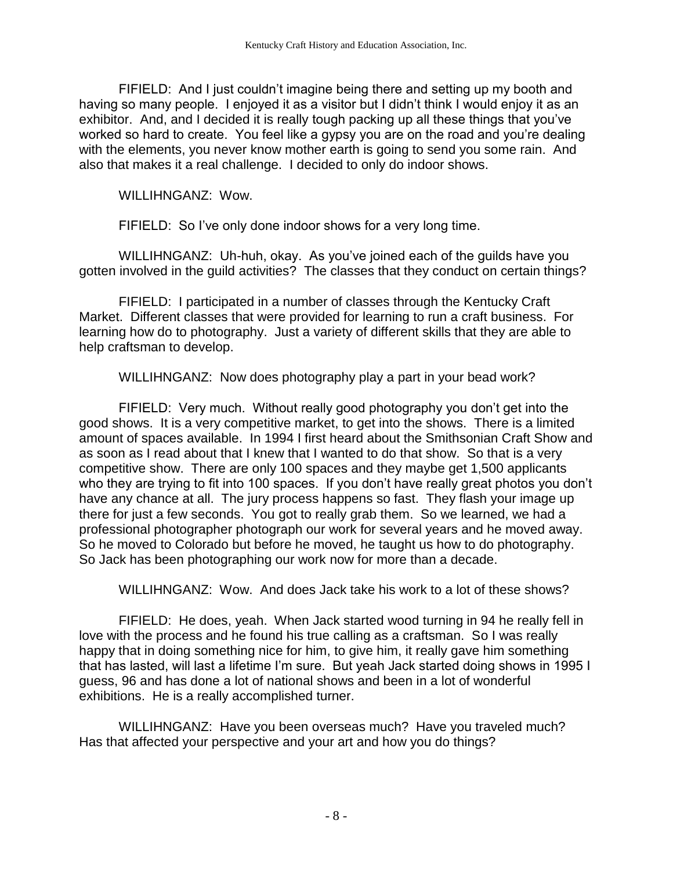FIFIELD: And I just couldn't imagine being there and setting up my booth and having so many people. I enjoyed it as a visitor but I didn't think I would enjoy it as an exhibitor. And, and I decided it is really tough packing up all these things that you've worked so hard to create. You feel like a gypsy you are on the road and you're dealing with the elements, you never know mother earth is going to send you some rain. And also that makes it a real challenge. I decided to only do indoor shows.

WILLIHNGANZ: Wow.

FIFIELD: So I've only done indoor shows for a very long time.

WILLIHNGANZ: Uh-huh, okay. As you've joined each of the guilds have you gotten involved in the guild activities? The classes that they conduct on certain things?

FIFIELD: I participated in a number of classes through the Kentucky Craft Market. Different classes that were provided for learning to run a craft business. For learning how do to photography. Just a variety of different skills that they are able to help craftsman to develop.

WILLIHNGANZ: Now does photography play a part in your bead work?

FIFIELD: Very much. Without really good photography you don't get into the good shows. It is a very competitive market, to get into the shows. There is a limited amount of spaces available. In 1994 I first heard about the Smithsonian Craft Show and as soon as I read about that I knew that I wanted to do that show. So that is a very competitive show. There are only 100 spaces and they maybe get 1,500 applicants who they are trying to fit into 100 spaces. If you don't have really great photos you don't have any chance at all. The jury process happens so fast. They flash your image up there for just a few seconds. You got to really grab them. So we learned, we had a professional photographer photograph our work for several years and he moved away. So he moved to Colorado but before he moved, he taught us how to do photography. So Jack has been photographing our work now for more than a decade.

WILLIHNGANZ: Wow. And does Jack take his work to a lot of these shows?

FIFIELD: He does, yeah. When Jack started wood turning in 94 he really fell in love with the process and he found his true calling as a craftsman. So I was really happy that in doing something nice for him, to give him, it really gave him something that has lasted, will last a lifetime I'm sure. But yeah Jack started doing shows in 1995 I guess, 96 and has done a lot of national shows and been in a lot of wonderful exhibitions. He is a really accomplished turner.

WILLIHNGANZ: Have you been overseas much? Have you traveled much? Has that affected your perspective and your art and how you do things?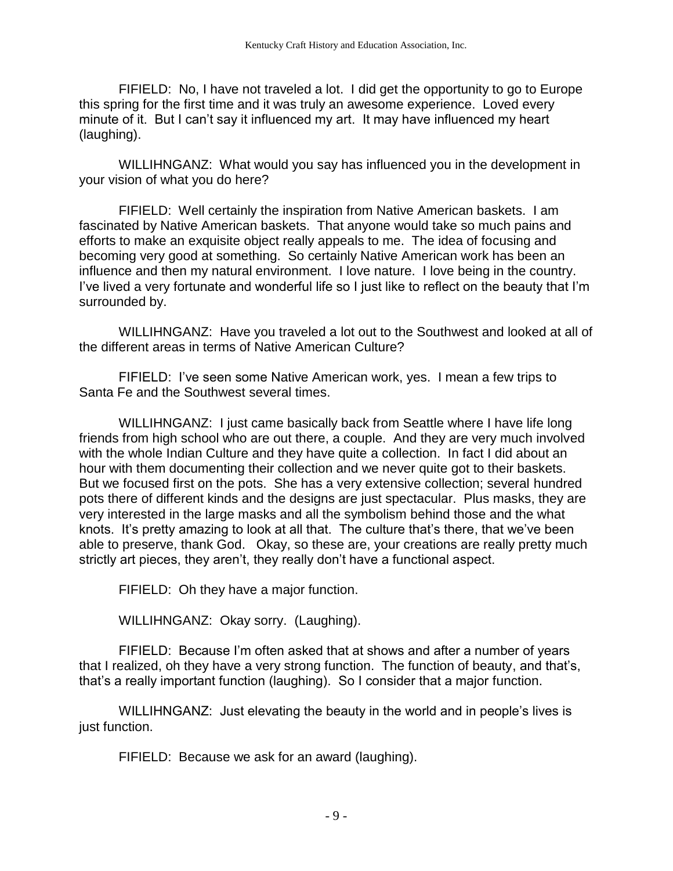FIFIELD: No, I have not traveled a lot. I did get the opportunity to go to Europe this spring for the first time and it was truly an awesome experience. Loved every minute of it. But I can't say it influenced my art. It may have influenced my heart (laughing).

WILLIHNGANZ: What would you say has influenced you in the development in your vision of what you do here?

FIFIELD: Well certainly the inspiration from Native American baskets. I am fascinated by Native American baskets. That anyone would take so much pains and efforts to make an exquisite object really appeals to me. The idea of focusing and becoming very good at something. So certainly Native American work has been an influence and then my natural environment. I love nature. I love being in the country. I've lived a very fortunate and wonderful life so I just like to reflect on the beauty that I'm surrounded by.

WILLIHNGANZ: Have you traveled a lot out to the Southwest and looked at all of the different areas in terms of Native American Culture?

FIFIELD: I've seen some Native American work, yes. I mean a few trips to Santa Fe and the Southwest several times.

WILLIHNGANZ: I just came basically back from Seattle where I have life long friends from high school who are out there, a couple. And they are very much involved with the whole Indian Culture and they have quite a collection. In fact I did about an hour with them documenting their collection and we never quite got to their baskets. But we focused first on the pots. She has a very extensive collection; several hundred pots there of different kinds and the designs are just spectacular. Plus masks, they are very interested in the large masks and all the symbolism behind those and the what knots. It's pretty amazing to look at all that. The culture that's there, that we've been able to preserve, thank God. Okay, so these are, your creations are really pretty much strictly art pieces, they aren't, they really don't have a functional aspect.

FIFIELD: Oh they have a major function.

WILLIHNGANZ: Okay sorry. (Laughing).

FIFIELD: Because I'm often asked that at shows and after a number of years that I realized, oh they have a very strong function. The function of beauty, and that's, that's a really important function (laughing). So I consider that a major function.

WILLIHNGANZ: Just elevating the beauty in the world and in people's lives is just function.

FIFIELD: Because we ask for an award (laughing).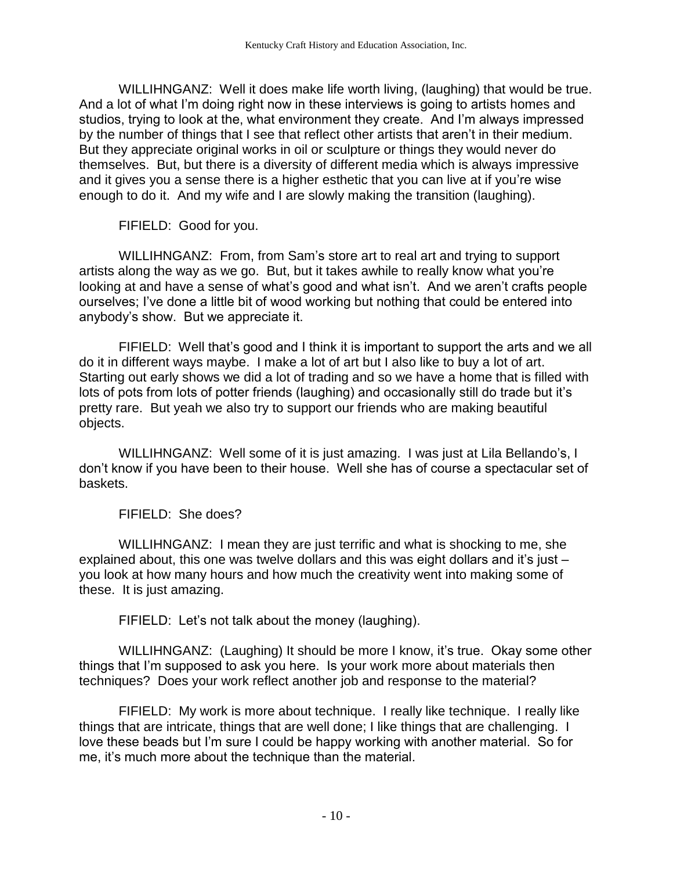WILLIHNGANZ: Well it does make life worth living, (laughing) that would be true. And a lot of what I'm doing right now in these interviews is going to artists homes and studios, trying to look at the, what environment they create. And I'm always impressed by the number of things that I see that reflect other artists that aren't in their medium. But they appreciate original works in oil or sculpture or things they would never do themselves. But, but there is a diversity of different media which is always impressive and it gives you a sense there is a higher esthetic that you can live at if you're wise enough to do it. And my wife and I are slowly making the transition (laughing).

FIFIELD: Good for you.

WILLIHNGANZ: From, from Sam's store art to real art and trying to support artists along the way as we go. But, but it takes awhile to really know what you're looking at and have a sense of what's good and what isn't. And we aren't crafts people ourselves; I've done a little bit of wood working but nothing that could be entered into anybody's show. But we appreciate it.

FIFIELD: Well that's good and I think it is important to support the arts and we all do it in different ways maybe. I make a lot of art but I also like to buy a lot of art. Starting out early shows we did a lot of trading and so we have a home that is filled with lots of pots from lots of potter friends (laughing) and occasionally still do trade but it's pretty rare. But yeah we also try to support our friends who are making beautiful objects.

WILLIHNGANZ: Well some of it is just amazing. I was just at Lila Bellando's, I don't know if you have been to their house. Well she has of course a spectacular set of baskets.

FIFIELD: She does?

WILLIHNGANZ: I mean they are just terrific and what is shocking to me, she explained about, this one was twelve dollars and this was eight dollars and it's just – you look at how many hours and how much the creativity went into making some of these. It is just amazing.

FIFIELD: Let's not talk about the money (laughing).

WILLIHNGANZ: (Laughing) It should be more I know, it's true. Okay some other things that I'm supposed to ask you here. Is your work more about materials then techniques? Does your work reflect another job and response to the material?

FIFIELD: My work is more about technique. I really like technique. I really like things that are intricate, things that are well done; I like things that are challenging. I love these beads but I'm sure I could be happy working with another material. So for me, it's much more about the technique than the material.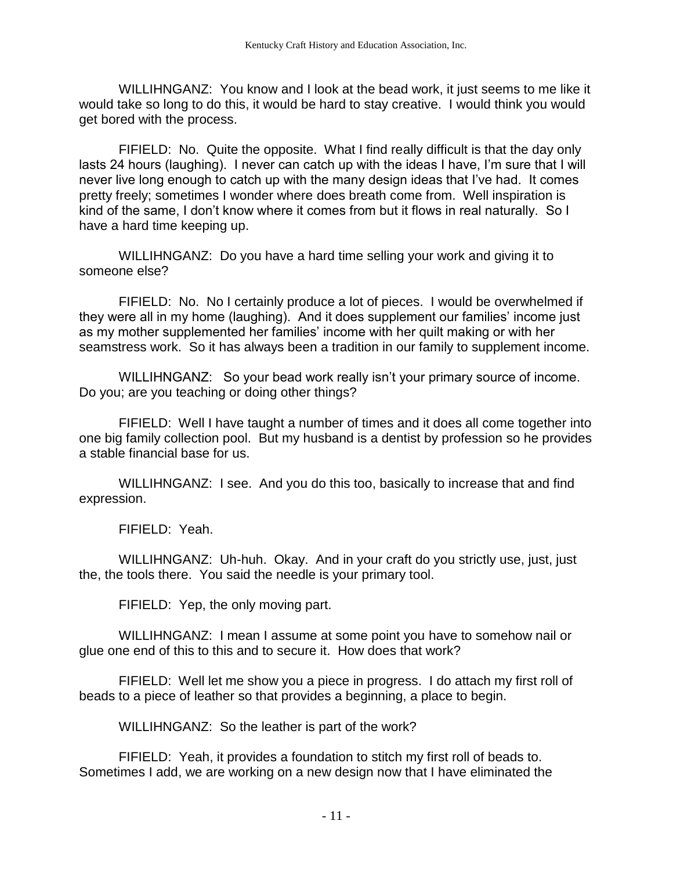WILLIHNGANZ: You know and I look at the bead work, it just seems to me like it would take so long to do this, it would be hard to stay creative. I would think you would get bored with the process.

FIFIELD: No. Quite the opposite. What I find really difficult is that the day only lasts 24 hours (laughing). I never can catch up with the ideas I have, I'm sure that I will never live long enough to catch up with the many design ideas that I've had. It comes pretty freely; sometimes I wonder where does breath come from. Well inspiration is kind of the same, I don't know where it comes from but it flows in real naturally. So I have a hard time keeping up.

WILLIHNGANZ: Do you have a hard time selling your work and giving it to someone else?

FIFIELD: No. No I certainly produce a lot of pieces. I would be overwhelmed if they were all in my home (laughing). And it does supplement our families' income just as my mother supplemented her families' income with her quilt making or with her seamstress work. So it has always been a tradition in our family to supplement income.

WILLIHNGANZ: So your bead work really isn't your primary source of income. Do you; are you teaching or doing other things?

FIFIELD: Well I have taught a number of times and it does all come together into one big family collection pool. But my husband is a dentist by profession so he provides a stable financial base for us.

WILLIHNGANZ: I see. And you do this too, basically to increase that and find expression.

FIFIELD: Yeah.

WILLIHNGANZ: Uh-huh. Okay. And in your craft do you strictly use, just, just the, the tools there. You said the needle is your primary tool.

FIFIELD: Yep, the only moving part.

WILLIHNGANZ: I mean I assume at some point you have to somehow nail or glue one end of this to this and to secure it. How does that work?

FIFIELD: Well let me show you a piece in progress. I do attach my first roll of beads to a piece of leather so that provides a beginning, a place to begin.

WILLIHNGANZ: So the leather is part of the work?

FIFIELD: Yeah, it provides a foundation to stitch my first roll of beads to. Sometimes I add, we are working on a new design now that I have eliminated the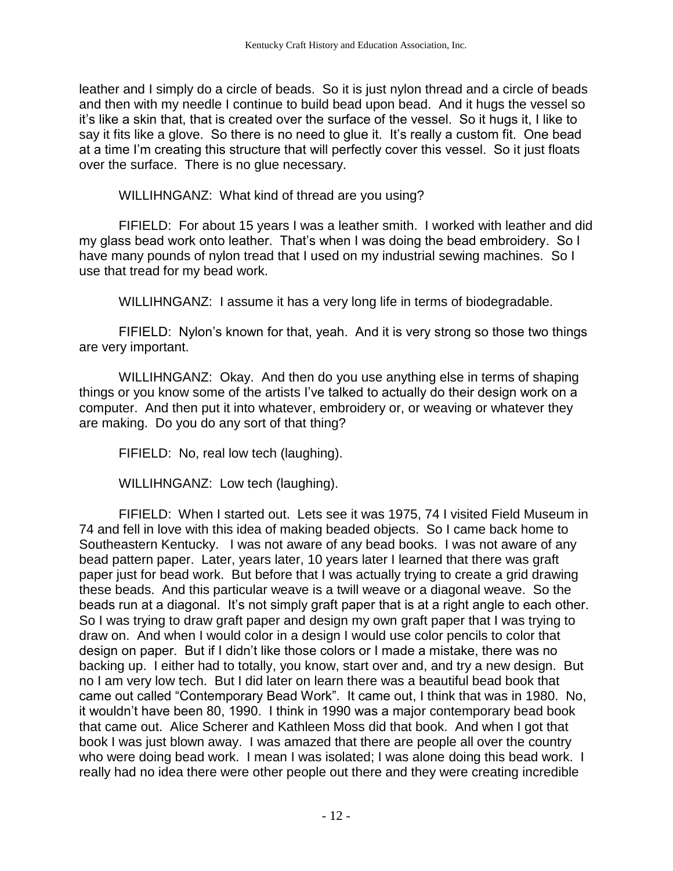leather and I simply do a circle of beads. So it is just nylon thread and a circle of beads and then with my needle I continue to build bead upon bead. And it hugs the vessel so it's like a skin that, that is created over the surface of the vessel. So it hugs it, I like to say it fits like a glove. So there is no need to glue it. It's really a custom fit. One bead at a time I'm creating this structure that will perfectly cover this vessel. So it just floats over the surface. There is no glue necessary.

WILLIHNGANZ: What kind of thread are you using?

FIFIELD: For about 15 years I was a leather smith. I worked with leather and did my glass bead work onto leather. That's when I was doing the bead embroidery. So I have many pounds of nylon tread that I used on my industrial sewing machines. So I use that tread for my bead work.

WILLIHNGANZ: I assume it has a very long life in terms of biodegradable.

FIFIELD: Nylon's known for that, yeah. And it is very strong so those two things are very important.

WILLIHNGANZ: Okay. And then do you use anything else in terms of shaping things or you know some of the artists I've talked to actually do their design work on a computer. And then put it into whatever, embroidery or, or weaving or whatever they are making. Do you do any sort of that thing?

FIFIELD: No, real low tech (laughing).

WILLIHNGANZ: Low tech (laughing).

FIFIELD: When I started out. Lets see it was 1975, 74 I visited Field Museum in 74 and fell in love with this idea of making beaded objects. So I came back home to Southeastern Kentucky. I was not aware of any bead books. I was not aware of any bead pattern paper. Later, years later, 10 years later I learned that there was graft paper just for bead work. But before that I was actually trying to create a grid drawing these beads. And this particular weave is a twill weave or a diagonal weave. So the beads run at a diagonal. It's not simply graft paper that is at a right angle to each other. So I was trying to draw graft paper and design my own graft paper that I was trying to draw on. And when I would color in a design I would use color pencils to color that design on paper. But if I didn't like those colors or I made a mistake, there was no backing up. I either had to totally, you know, start over and, and try a new design. But no I am very low tech. But I did later on learn there was a beautiful bead book that came out called "Contemporary Bead Work". It came out, I think that was in 1980. No, it wouldn't have been 80, 1990. I think in 1990 was a major contemporary bead book that came out. Alice Scherer and Kathleen Moss did that book. And when I got that book I was just blown away. I was amazed that there are people all over the country who were doing bead work. I mean I was isolated; I was alone doing this bead work. I really had no idea there were other people out there and they were creating incredible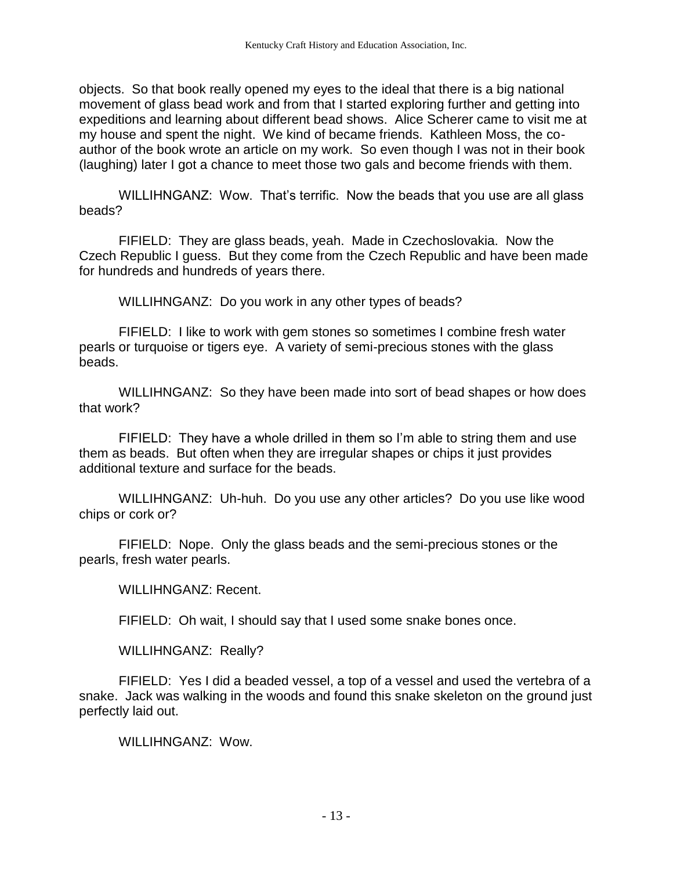objects. So that book really opened my eyes to the ideal that there is a big national movement of glass bead work and from that I started exploring further and getting into expeditions and learning about different bead shows. Alice Scherer came to visit me at my house and spent the night. We kind of became friends. Kathleen Moss, the coauthor of the book wrote an article on my work. So even though I was not in their book (laughing) later I got a chance to meet those two gals and become friends with them.

WILLIHNGANZ: Wow. That's terrific. Now the beads that you use are all glass beads?

FIFIELD: They are glass beads, yeah. Made in Czechoslovakia. Now the Czech Republic I guess. But they come from the Czech Republic and have been made for hundreds and hundreds of years there.

WILLIHNGANZ: Do you work in any other types of beads?

FIFIELD: I like to work with gem stones so sometimes I combine fresh water pearls or turquoise or tigers eye. A variety of semi-precious stones with the glass beads.

WILLIHNGANZ: So they have been made into sort of bead shapes or how does that work?

FIFIELD: They have a whole drilled in them so I'm able to string them and use them as beads. But often when they are irregular shapes or chips it just provides additional texture and surface for the beads.

WILLIHNGANZ: Uh-huh. Do you use any other articles? Do you use like wood chips or cork or?

FIFIELD: Nope. Only the glass beads and the semi-precious stones or the pearls, fresh water pearls.

WILLIHNGANZ: Recent.

FIFIELD: Oh wait, I should say that I used some snake bones once.

WILLIHNGANZ: Really?

FIFIELD: Yes I did a beaded vessel, a top of a vessel and used the vertebra of a snake. Jack was walking in the woods and found this snake skeleton on the ground just perfectly laid out.

WILLIHNGANZ: Wow.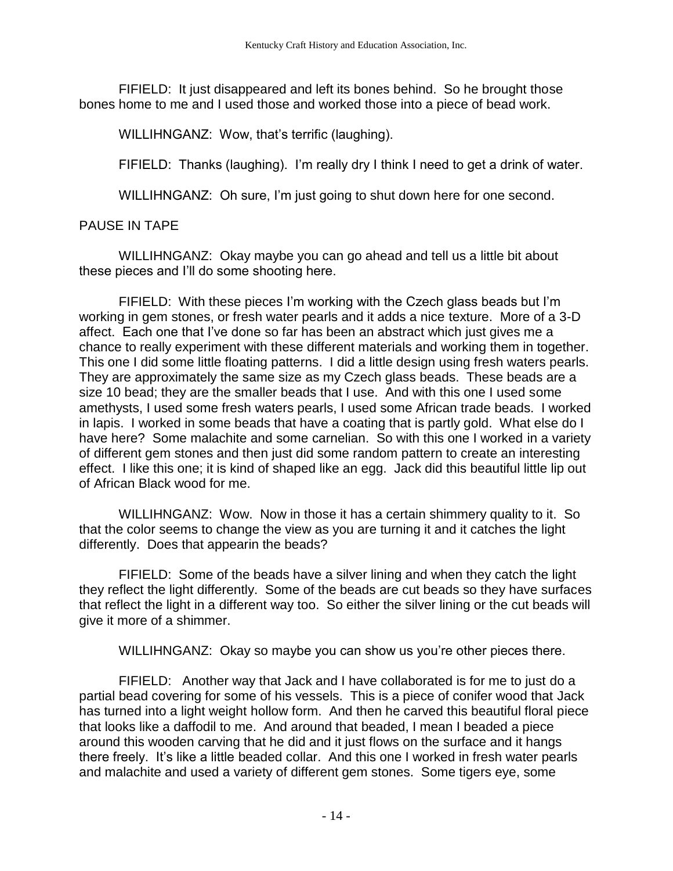FIFIELD: It just disappeared and left its bones behind. So he brought those bones home to me and I used those and worked those into a piece of bead work.

WILLIHNGANZ: Wow, that's terrific (laughing).

FIFIELD: Thanks (laughing). I'm really dry I think I need to get a drink of water.

WILLIHNGANZ: Oh sure, I'm just going to shut down here for one second.

## PAUSE IN TAPE

WILLIHNGANZ: Okay maybe you can go ahead and tell us a little bit about these pieces and I'll do some shooting here.

FIFIELD: With these pieces I'm working with the Czech glass beads but I'm working in gem stones, or fresh water pearls and it adds a nice texture. More of a 3-D affect. Each one that I've done so far has been an abstract which just gives me a chance to really experiment with these different materials and working them in together. This one I did some little floating patterns. I did a little design using fresh waters pearls. They are approximately the same size as my Czech glass beads. These beads are a size 10 bead; they are the smaller beads that I use. And with this one I used some amethysts, I used some fresh waters pearls, I used some African trade beads. I worked in lapis. I worked in some beads that have a coating that is partly gold. What else do I have here? Some malachite and some carnelian. So with this one I worked in a variety of different gem stones and then just did some random pattern to create an interesting effect. I like this one; it is kind of shaped like an egg. Jack did this beautiful little lip out of African Black wood for me.

WILLIHNGANZ: Wow. Now in those it has a certain shimmery quality to it. So that the color seems to change the view as you are turning it and it catches the light differently. Does that appearin the beads?

FIFIELD: Some of the beads have a silver lining and when they catch the light they reflect the light differently. Some of the beads are cut beads so they have surfaces that reflect the light in a different way too. So either the silver lining or the cut beads will give it more of a shimmer.

WILLIHNGANZ: Okay so maybe you can show us you're other pieces there.

FIFIELD: Another way that Jack and I have collaborated is for me to just do a partial bead covering for some of his vessels. This is a piece of conifer wood that Jack has turned into a light weight hollow form. And then he carved this beautiful floral piece that looks like a daffodil to me. And around that beaded, I mean I beaded a piece around this wooden carving that he did and it just flows on the surface and it hangs there freely. It's like a little beaded collar. And this one I worked in fresh water pearls and malachite and used a variety of different gem stones. Some tigers eye, some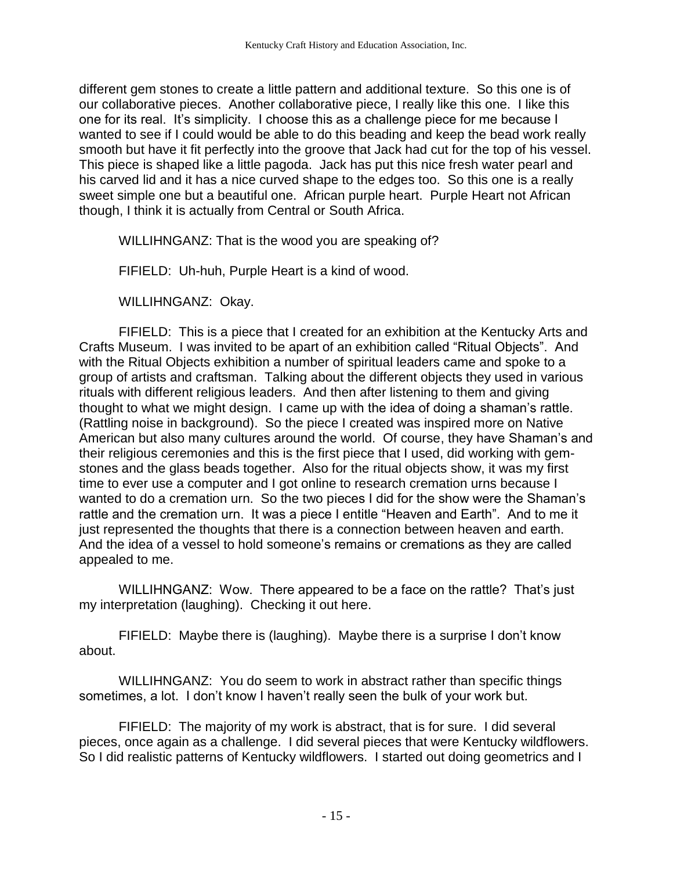different gem stones to create a little pattern and additional texture. So this one is of our collaborative pieces. Another collaborative piece, I really like this one. I like this one for its real. It's simplicity. I choose this as a challenge piece for me because I wanted to see if I could would be able to do this beading and keep the bead work really smooth but have it fit perfectly into the groove that Jack had cut for the top of his vessel. This piece is shaped like a little pagoda. Jack has put this nice fresh water pearl and his carved lid and it has a nice curved shape to the edges too. So this one is a really sweet simple one but a beautiful one. African purple heart. Purple Heart not African though, I think it is actually from Central or South Africa.

WILLIHNGANZ: That is the wood you are speaking of?

FIFIELD: Uh-huh, Purple Heart is a kind of wood.

WILLIHNGANZ: Okay.

FIFIELD: This is a piece that I created for an exhibition at the Kentucky Arts and Crafts Museum. I was invited to be apart of an exhibition called "Ritual Objects". And with the Ritual Objects exhibition a number of spiritual leaders came and spoke to a group of artists and craftsman. Talking about the different objects they used in various rituals with different religious leaders. And then after listening to them and giving thought to what we might design. I came up with the idea of doing a shaman's rattle. (Rattling noise in background). So the piece I created was inspired more on Native American but also many cultures around the world. Of course, they have Shaman's and their religious ceremonies and this is the first piece that I used, did working with gemstones and the glass beads together. Also for the ritual objects show, it was my first time to ever use a computer and I got online to research cremation urns because I wanted to do a cremation urn. So the two pieces I did for the show were the Shaman's rattle and the cremation urn. It was a piece I entitle "Heaven and Earth". And to me it just represented the thoughts that there is a connection between heaven and earth. And the idea of a vessel to hold someone's remains or cremations as they are called appealed to me.

WILLIHNGANZ: Wow. There appeared to be a face on the rattle? That's just my interpretation (laughing). Checking it out here.

FIFIELD: Maybe there is (laughing). Maybe there is a surprise I don't know about.

WILLIHNGANZ: You do seem to work in abstract rather than specific things sometimes, a lot. I don't know I haven't really seen the bulk of your work but.

FIFIELD: The majority of my work is abstract, that is for sure. I did several pieces, once again as a challenge. I did several pieces that were Kentucky wildflowers. So I did realistic patterns of Kentucky wildflowers. I started out doing geometrics and I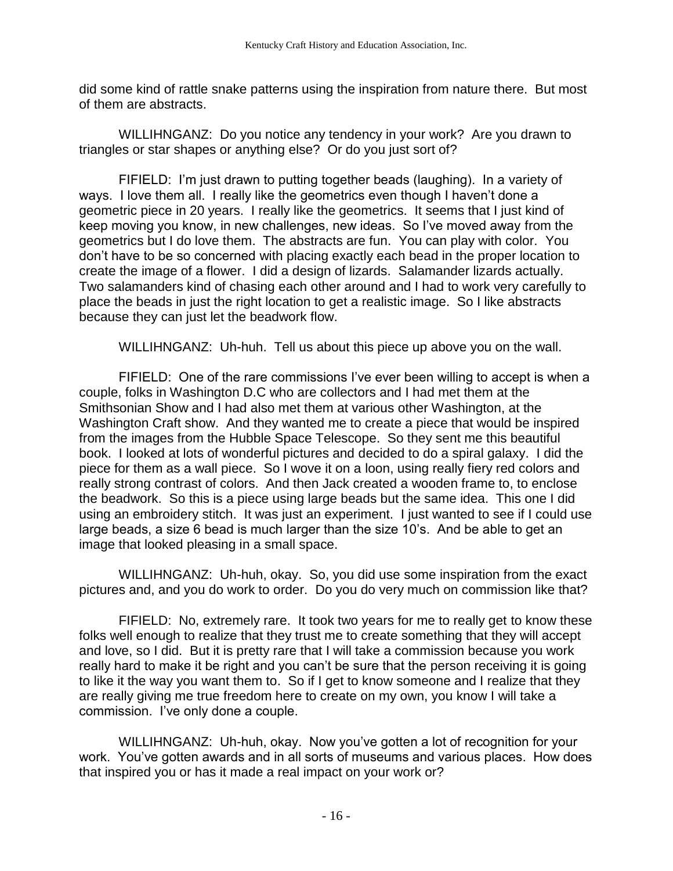did some kind of rattle snake patterns using the inspiration from nature there. But most of them are abstracts.

WILLIHNGANZ: Do you notice any tendency in your work? Are you drawn to triangles or star shapes or anything else? Or do you just sort of?

FIFIELD: I'm just drawn to putting together beads (laughing). In a variety of ways. I love them all. I really like the geometrics even though I haven't done a geometric piece in 20 years. I really like the geometrics. It seems that I just kind of keep moving you know, in new challenges, new ideas. So I've moved away from the geometrics but I do love them. The abstracts are fun. You can play with color. You don't have to be so concerned with placing exactly each bead in the proper location to create the image of a flower. I did a design of lizards. Salamander lizards actually. Two salamanders kind of chasing each other around and I had to work very carefully to place the beads in just the right location to get a realistic image. So I like abstracts because they can just let the beadwork flow.

WILLIHNGANZ: Uh-huh. Tell us about this piece up above you on the wall.

FIFIELD: One of the rare commissions I've ever been willing to accept is when a couple, folks in Washington D.C who are collectors and I had met them at the Smithsonian Show and I had also met them at various other Washington, at the Washington Craft show. And they wanted me to create a piece that would be inspired from the images from the Hubble Space Telescope. So they sent me this beautiful book. I looked at lots of wonderful pictures and decided to do a spiral galaxy. I did the piece for them as a wall piece. So I wove it on a loon, using really fiery red colors and really strong contrast of colors. And then Jack created a wooden frame to, to enclose the beadwork. So this is a piece using large beads but the same idea. This one I did using an embroidery stitch. It was just an experiment. I just wanted to see if I could use large beads, a size 6 bead is much larger than the size 10's. And be able to get an image that looked pleasing in a small space.

WILLIHNGANZ: Uh-huh, okay. So, you did use some inspiration from the exact pictures and, and you do work to order. Do you do very much on commission like that?

FIFIELD: No, extremely rare. It took two years for me to really get to know these folks well enough to realize that they trust me to create something that they will accept and love, so I did. But it is pretty rare that I will take a commission because you work really hard to make it be right and you can't be sure that the person receiving it is going to like it the way you want them to. So if I get to know someone and I realize that they are really giving me true freedom here to create on my own, you know I will take a commission. I've only done a couple.

WILLIHNGANZ: Uh-huh, okay. Now you've gotten a lot of recognition for your work. You've gotten awards and in all sorts of museums and various places. How does that inspired you or has it made a real impact on your work or?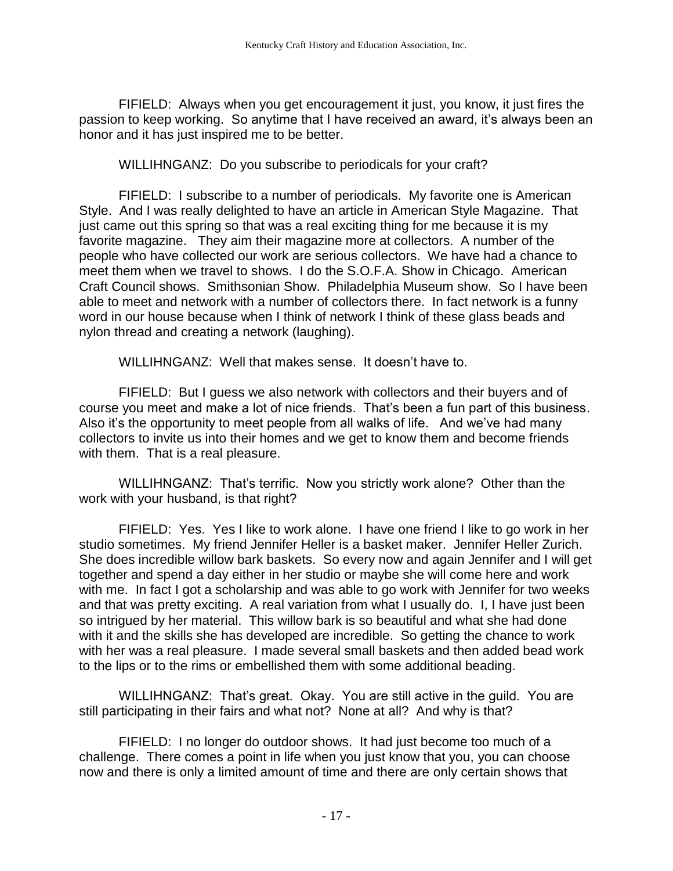FIFIELD: Always when you get encouragement it just, you know, it just fires the passion to keep working. So anytime that I have received an award, it's always been an honor and it has just inspired me to be better.

WILLIHNGANZ: Do you subscribe to periodicals for your craft?

FIFIELD: I subscribe to a number of periodicals. My favorite one is American Style. And I was really delighted to have an article in American Style Magazine. That just came out this spring so that was a real exciting thing for me because it is my favorite magazine. They aim their magazine more at collectors. A number of the people who have collected our work are serious collectors. We have had a chance to meet them when we travel to shows. I do the S.O.F.A. Show in Chicago. American Craft Council shows. Smithsonian Show. Philadelphia Museum show. So I have been able to meet and network with a number of collectors there. In fact network is a funny word in our house because when I think of network I think of these glass beads and nylon thread and creating a network (laughing).

WILLIHNGANZ: Well that makes sense. It doesn't have to.

FIFIELD: But I guess we also network with collectors and their buyers and of course you meet and make a lot of nice friends. That's been a fun part of this business. Also it's the opportunity to meet people from all walks of life. And we've had many collectors to invite us into their homes and we get to know them and become friends with them. That is a real pleasure.

WILLIHNGANZ: That's terrific. Now you strictly work alone? Other than the work with your husband, is that right?

FIFIELD: Yes. Yes I like to work alone. I have one friend I like to go work in her studio sometimes. My friend Jennifer Heller is a basket maker. Jennifer Heller Zurich. She does incredible willow bark baskets. So every now and again Jennifer and I will get together and spend a day either in her studio or maybe she will come here and work with me. In fact I got a scholarship and was able to go work with Jennifer for two weeks and that was pretty exciting. A real variation from what I usually do. I, I have just been so intrigued by her material. This willow bark is so beautiful and what she had done with it and the skills she has developed are incredible. So getting the chance to work with her was a real pleasure. I made several small baskets and then added bead work to the lips or to the rims or embellished them with some additional beading.

WILLIHNGANZ: That's great. Okay. You are still active in the guild. You are still participating in their fairs and what not? None at all? And why is that?

FIFIELD: I no longer do outdoor shows. It had just become too much of a challenge. There comes a point in life when you just know that you, you can choose now and there is only a limited amount of time and there are only certain shows that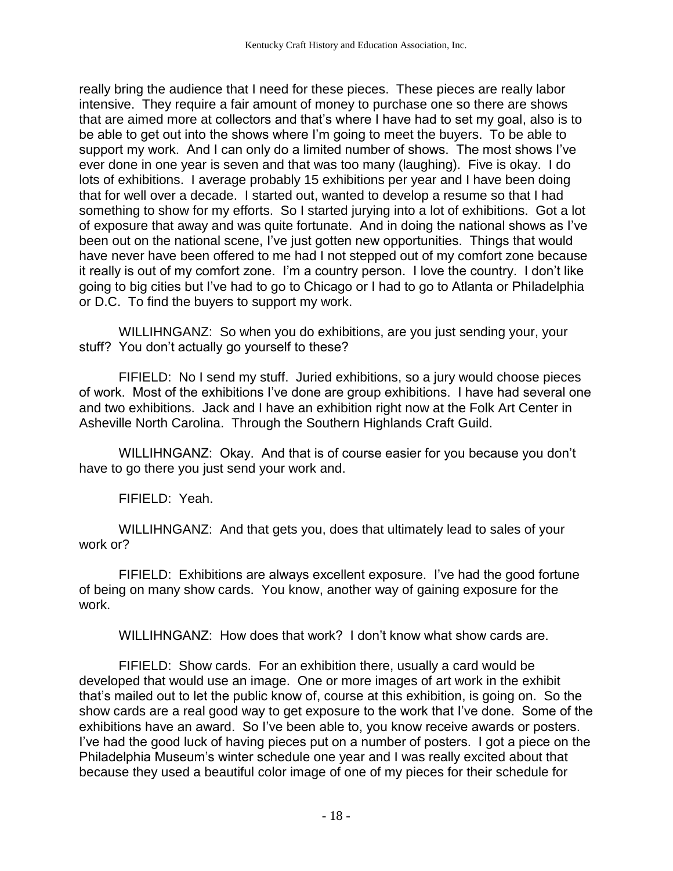really bring the audience that I need for these pieces. These pieces are really labor intensive. They require a fair amount of money to purchase one so there are shows that are aimed more at collectors and that's where I have had to set my goal, also is to be able to get out into the shows where I'm going to meet the buyers. To be able to support my work. And I can only do a limited number of shows. The most shows I've ever done in one year is seven and that was too many (laughing). Five is okay. I do lots of exhibitions. I average probably 15 exhibitions per year and I have been doing that for well over a decade. I started out, wanted to develop a resume so that I had something to show for my efforts. So I started jurying into a lot of exhibitions. Got a lot of exposure that away and was quite fortunate. And in doing the national shows as I've been out on the national scene, I've just gotten new opportunities. Things that would have never have been offered to me had I not stepped out of my comfort zone because it really is out of my comfort zone. I'm a country person. I love the country. I don't like going to big cities but I've had to go to Chicago or I had to go to Atlanta or Philadelphia or D.C. To find the buyers to support my work.

WILLIHNGANZ: So when you do exhibitions, are you just sending your, your stuff? You don't actually go yourself to these?

FIFIELD: No I send my stuff. Juried exhibitions, so a jury would choose pieces of work. Most of the exhibitions I've done are group exhibitions. I have had several one and two exhibitions. Jack and I have an exhibition right now at the Folk Art Center in Asheville North Carolina. Through the Southern Highlands Craft Guild.

WILLIHNGANZ: Okay. And that is of course easier for you because you don't have to go there you just send your work and.

FIFIELD: Yeah.

WILLIHNGANZ: And that gets you, does that ultimately lead to sales of your work or?

FIFIELD: Exhibitions are always excellent exposure. I've had the good fortune of being on many show cards. You know, another way of gaining exposure for the work.

WILLIHNGANZ: How does that work? I don't know what show cards are.

FIFIELD: Show cards. For an exhibition there, usually a card would be developed that would use an image. One or more images of art work in the exhibit that's mailed out to let the public know of, course at this exhibition, is going on. So the show cards are a real good way to get exposure to the work that I've done. Some of the exhibitions have an award. So I've been able to, you know receive awards or posters. I've had the good luck of having pieces put on a number of posters. I got a piece on the Philadelphia Museum's winter schedule one year and I was really excited about that because they used a beautiful color image of one of my pieces for their schedule for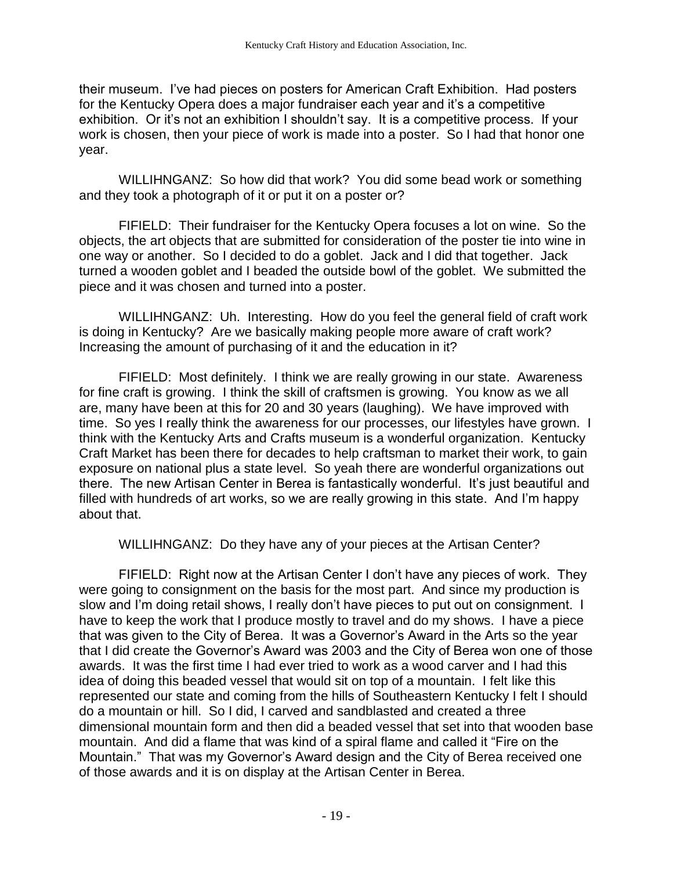their museum. I've had pieces on posters for American Craft Exhibition. Had posters for the Kentucky Opera does a major fundraiser each year and it's a competitive exhibition. Or it's not an exhibition I shouldn't say. It is a competitive process. If your work is chosen, then your piece of work is made into a poster. So I had that honor one year.

WILLIHNGANZ: So how did that work? You did some bead work or something and they took a photograph of it or put it on a poster or?

FIFIELD: Their fundraiser for the Kentucky Opera focuses a lot on wine. So the objects, the art objects that are submitted for consideration of the poster tie into wine in one way or another. So I decided to do a goblet. Jack and I did that together. Jack turned a wooden goblet and I beaded the outside bowl of the goblet. We submitted the piece and it was chosen and turned into a poster.

WILLIHNGANZ: Uh. Interesting. How do you feel the general field of craft work is doing in Kentucky? Are we basically making people more aware of craft work? Increasing the amount of purchasing of it and the education in it?

FIFIELD: Most definitely. I think we are really growing in our state. Awareness for fine craft is growing. I think the skill of craftsmen is growing. You know as we all are, many have been at this for 20 and 30 years (laughing). We have improved with time. So yes I really think the awareness for our processes, our lifestyles have grown. I think with the Kentucky Arts and Crafts museum is a wonderful organization. Kentucky Craft Market has been there for decades to help craftsman to market their work, to gain exposure on national plus a state level. So yeah there are wonderful organizations out there. The new Artisan Center in Berea is fantastically wonderful. It's just beautiful and filled with hundreds of art works, so we are really growing in this state. And I'm happy about that.

WILLIHNGANZ: Do they have any of your pieces at the Artisan Center?

FIFIELD: Right now at the Artisan Center I don't have any pieces of work. They were going to consignment on the basis for the most part. And since my production is slow and I'm doing retail shows, I really don't have pieces to put out on consignment. I have to keep the work that I produce mostly to travel and do my shows. I have a piece that was given to the City of Berea. It was a Governor's Award in the Arts so the year that I did create the Governor's Award was 2003 and the City of Berea won one of those awards. It was the first time I had ever tried to work as a wood carver and I had this idea of doing this beaded vessel that would sit on top of a mountain. I felt like this represented our state and coming from the hills of Southeastern Kentucky I felt I should do a mountain or hill. So I did, I carved and sandblasted and created a three dimensional mountain form and then did a beaded vessel that set into that wooden base mountain. And did a flame that was kind of a spiral flame and called it "Fire on the Mountain." That was my Governor's Award design and the City of Berea received one of those awards and it is on display at the Artisan Center in Berea.